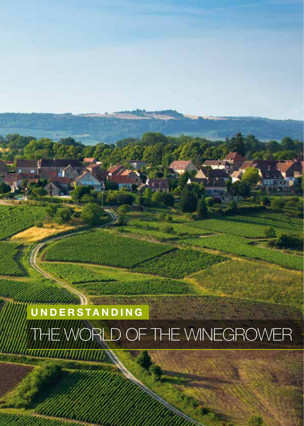# **UNDERSTANDING** E WORLD OF THE WINEGROWER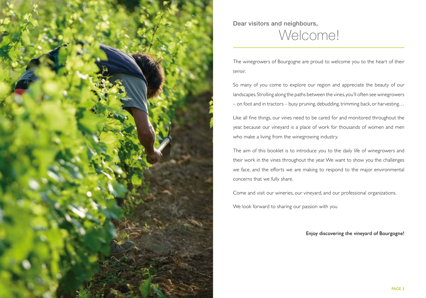

Dear visitors and neighbours, Welcome!

The winegrowers of Bourgogne are proud to welcome you to the heart of their *terroir*.

So many of you come to explore our region and appreciate the beauty of our landscapes. Strolling along the paths between the vines, you'll often see winegrowers – on foot and in tractors – busy pruning, debudding, trimming back, or harvesting…

Like all fine things, our vines need to be cared for and monitored throughout the year, because our vineyard is a place of work for thousands of women and men who make a living from the winegrowing industry.

The aim of this booklet is to introduce you to the daily life of winegrowers and their work in the vines throughout the year. We want to show you the challenges we face, and the efforts we are making to respond to the major environmental concerns that we fully share.

Come and visit our wineries, our vineyard, and our professional organizations.

We look forward to sharing our passion with you

Enjoy discovering the vineyard of Bourgogne!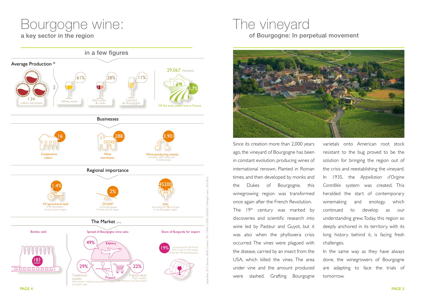# Bourgogne wine:

a key sector in the region



## The vineyard of Bourgogne: In perpetual movement



Since its creation more than 2,000 years ago, the vineyard of Bourgogne has been in constant evolution, producing wines of international renown. Planted in Roman times, and then developed by monks and the Dukes of Bourgogne, this winegrowing region was transformed once again after the French Revolution. The 19<sup>th</sup> century was marked by discoveries and scientific research into wine led by Pasteur and Guyot, but it was also when the phylloxera crisis occurred. The vines were plagued with the disease, carried by an insect from the USA, which killed the vines. The area under vine and the amount produced were slashed. Grafting Bourgogne

varietals onto American root stock resistant to the bug proved to be the solution for bringing the region out of the crisis and reestablishing the vineyard. In 1935, the *Appellation d'Origine Contrôlée* system was created. This heralded the start of contemporary winemaking and enology, which continued to develop as our understanding grew. Today, this region so deeply anchored in its territory, with its long history behind it, is facing fresh challenges.

In the same way as they have always done, the winegrowers of Bourgogne are adapting to face the trials of tomorrow.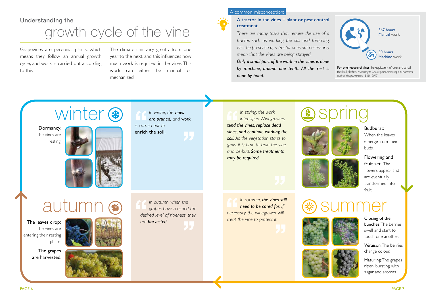### Understanding the

# growth cycle of the vine

Grapevines are perennial plants, which means they follow an annual growth cycle, and work is carried out according to this.

The climate can vary greatly from one year to the next, and this influences how much work is required in the vines. This work can either be manual or mechanized.

### A common misconception:

### A tractor in the vines = plant or pest control treatment

*There are many tasks that require the use of a tractor, such as working the soil and trimming, etc. The presence of a tractor does not necessarily mean that the vines are being sprayed. Only a small part of the work in the vines is done by machine; around one tenth. All the rest is done by hand.* 



For one hectare of vines the equivalent of one-and-a-half football pitches. *\*According to 72 enterprises comprising 1,414 hectares – study of winegrowing costs - BIVB - 2017* 



*In winter, the vines are pruned, and work is carried out to*  enrich the soil.

*In spring, the work intensifies. Winegrowers tend the vines, replace dead vines, and continue working the soil. As the vegetation starts to grow, it is time to train the vine and de-bud. Some treatments may be required.*

# spring



Budburst: When the leaves emerge from their buds.

Flowering and fruit set: The flowers appear and are eventually transformed into fruit.





Véraison: The berries change colour.

Maturing: The grapes ripen, bursting with sugar and aromas.

autumn, when the **Constant of the summer, the vines still**<br>Read to be cared for. If<br>Read to be cared for. If<br>Read to be cared for. If

The leaves drop:

The vines are entering their resting phase.

> The grapes are harvested.



*In autumn, when the grapes have reached the desired level of ripeness, they are harvested.*

*In summer, the vines still need to be cared for. If necessary, the winegrower will*  **treat the vine to protect it.** Closing of the



PAGE 6 PAGE 7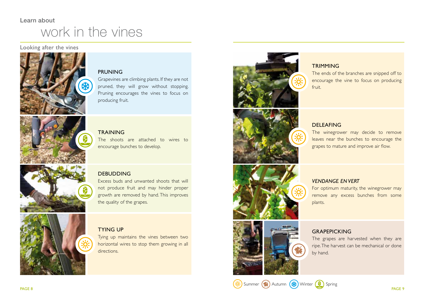## Learn about work in the vines

### Looking after the vines



### PRUNING

Grapevines are climbing plants. If they are not pruned, they will grow without stopping. Pruning encourages the vines to focus on producing fruit.



**TRAINING** The shoots are attached to wires to encourage bunches to develop.



### DEBUDDING

Excess buds and unwanted shoots that will not produce fruit and may hinder proper growth are removed by hand. This improves the quality of the grapes.



### TYING UP

Tying up maintains the vines between two horizontal wires to stop them growing in all directions.





### **TRIMMING**

The ends of the branches are snipped off to encourage the vine to focus on producing fruit.

### DELEAFING

The winegrower may decide to remove leaves near the bunches to encourage the grapes to mature and improve air flow.



### *VENDANGE EN VERT*

For optimum maturity, the winegrower may remove any excess bunches from some plants.



### **GRAPEPICKING**

The grapes are harvested when they are ripe. The harvest can be mechanical or done by hand.

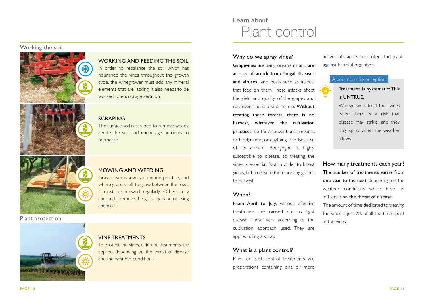### Working the soil



### WORKING AND FEEDING THE SOIL

In order to rebalance the soil which has nourished the vines throughout the growth cycle, the winegrower must add any mineral elements that are lacking. It also needs to be worked to encourage aeration.

### SCRAPING

The surface soil is scraped to remove weeds, aerate the soil, and encourage nutrients to permeate.

### Plant protection



### MOWING AND WEEDING

Grass cover is a very common practice, and where grass is left to grow between the rows, it must be mowed regularly. Others may choose to remove the grass by hand or using chemicals.

### VINE TREATMENTS

To protect the vines, different treatments are applied, depending on the threat of disease and the weather conditions.

## Learn about Plant control

### Why do we spray vines?

Grapevines are living organisms and are at risk of attack from fungal diseases and viruses, and pests such as insects that feed on them. These attacks affect the yield and quality of the grapes and can even cause a vine to die. Without treating these threats, there is no harvest, whatever the cultivation practices, be they conventional, organic, or biodynamic, or anything else. Because of its climate, Bourgogne is highly susceptible to disease, so treating the vines is essential. Not in order to boost yields, but to ensure there are any grapes to harvest.

### When?

From April to July, various effective treatments are carried out to fight disease. These vary according to the cultivation approach used. They are applied using a spray.

### What is a plant control?

Plant or pest control treatments are preparations containing one or more active substances to protect the plants against harmful organisms.

### A common misconception:



Winegrowers treat their vines when there is a risk that disease may strike, and they only spray when the weather allows.

How many treatments each year? The number of treatments varies from one year to the next, depending on the weather conditions which have an influence on the threat of disease. The amount of time dedicated to treating the vines is just 2% of all the time spent

in the vines.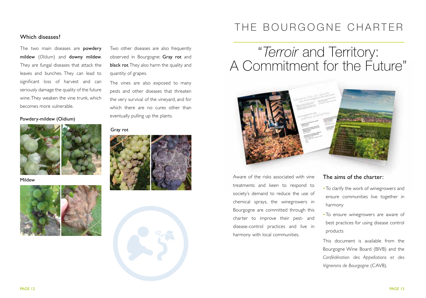### Which diseases?

The two main diseases are powdery mildew (*Oïdium*) and downy mildew. They are fungal diseases that attack the leaves and bunches. They can lead to significant loss of harvest and can seriously damage the quality of the future wine. They weaken the vine trunk, which becomes more vulnerable.



Mildew



Two other diseases are also frequently observed in Bourgogne: Gray rot and black rot. They also harm the quality and quantity of grapes.

The vines are also exposed to many pests and other diseases that threaten the very survival of the vineyard, and for which there are no cures other than eventually pulling up the plants. Powdery-mildew (Oïdium)

### Gray rot





## THE BOURGOGNE CHARTER

# "*Terroir* and Territory: A Commitment for the Future"



Aware of the risks associated with vine treatments and keen to respond to society's demand to reduce the use of chemical sprays, the winegrowers in Bourgogne are committed through this charter to improve their pest- and disease-control practices and live in harmony with local communities.

### The aims of the charter:

- •To clarify the work of winegrowers and ensure communities live together in harmony
- •To ensure winegrowers are aware of best practices for using disease control products

This document is available from the Bourgogne Wine Board (BIVB) and the *Confédération des Appellations et des Vignerons de Bourgogne* (CAVB).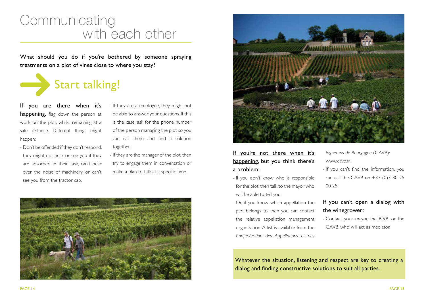# Communicating with each other

What should you do if you're bothered by someone spraying treatments on a plot of vines close to where you stay?



If you are there when it's happening, flag down the person at work on the plot, whilst remaining at a safe distance. Different things might happen:

- Don't be offended if they don't respond, they might not hear or see you if they are absorbed in their task, can't hear over the noise of machinery, or can't see you from the tractor cab.

- If they are a employee, they might not be able to answer your questions. If this is the case, ask for the phone number of the person managing the plot so you can call them and find a solution together.

- If they are the manager of the plot, then try to engage them in conversation or make a plan to talk at a specific time.





### If you're not there when it's happening, but you think there's a problem:

- If you don't know who is responsible for the plot, then talk to the mayor who will be able to tell you.
- Or, if you know which appellation the plot belongs to, then you can contact the relative appellation management organization. A list is available from the *Confédération des Appellations et des*

*Vignerons de Bourgogne* (CAVB): www.cavb.fr.

- If you can't find the information, you can call the CAVB on +33 (0)3 80 25 00 25.

### If you can't open a dialog with the winegrower:

- Contact your mayor, the BIVB, or the CAVB, who will act as mediator.

Whatever the situation, listening and respect are key to creating a dialog and finding constructive solutions to suit all parties.